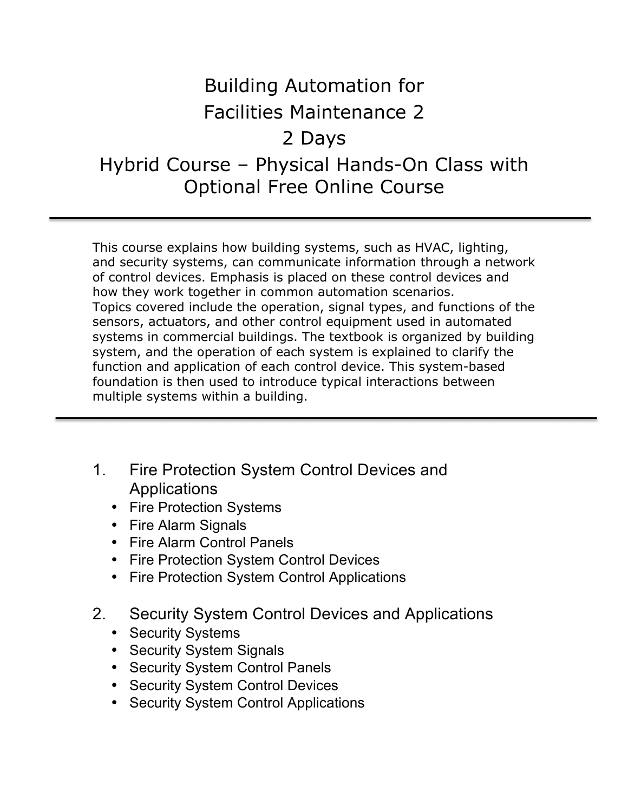## Building Automation for Facilities Maintenance 2 2 Days Hybrid Course – Physical Hands-On Class with Optional Free Online Course

This course explains how building systems, such as HVAC, lighting, and security systems, can communicate information through a network of control devices. Emphasis is placed on these control devices and how they work together in common automation scenarios. Topics covered include the operation, signal types, and functions of the sensors, actuators, and other control equipment used in automated systems in commercial buildings. The textbook is organized by building system, and the operation of each system is explained to clarify the function and application of each control device. This system-based foundation is then used to introduce typical interactions between multiple systems within a building.

- 1. Fire Protection System Control Devices and Applications
	- Fire Protection Systems
	- Fire Alarm Signals
	- Fire Alarm Control Panels
	- Fire Protection System Control Devices
	- Fire Protection System Control Applications
- 2. Security System Control Devices and Applications
	- Security Systems
	- Security System Signals
	- Security System Control Panels
	- Security System Control Devices
	- Security System Control Applications